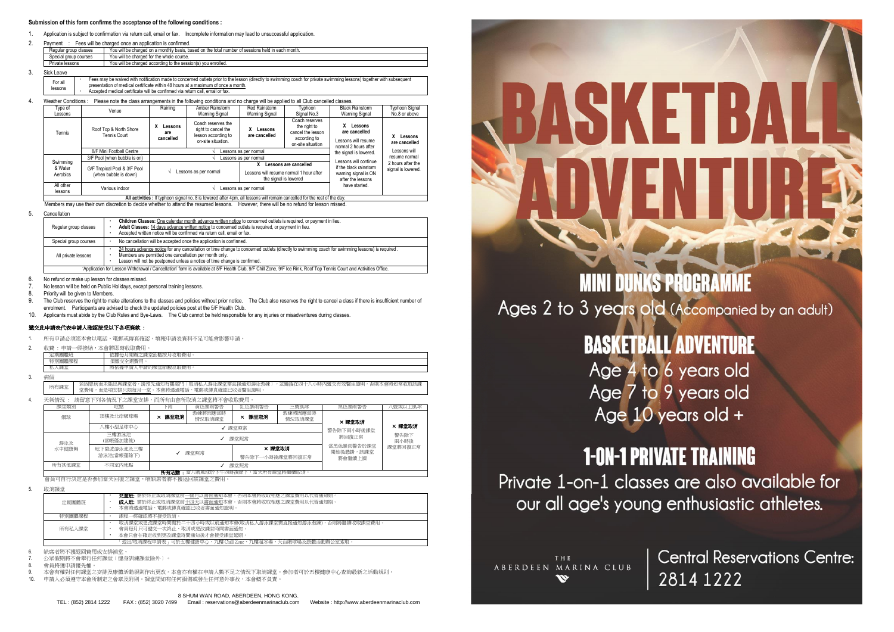#### **Submission of this form confirms the acceptance of the following conditions :**

- 1. Application is subject to confirmation via return call, email or fax. Incomplete information may lead to unsuccessful application.
- 2. Payment : Fees will be charged once an application is confirmed.

| You will be charged on a monthly basis, based on the total number of sessions held in each month.<br>Regular group classes |                 |                                                               |  |  |  |  |
|----------------------------------------------------------------------------------------------------------------------------|-----------------|---------------------------------------------------------------|--|--|--|--|
| You will be charged for the whole course.<br>Special group courses                                                         |                 |                                                               |  |  |  |  |
|                                                                                                                            | Private lessons | You will be charged according to the session(s) you enrolled. |  |  |  |  |
|                                                                                                                            | Ciel Lonic      |                                                               |  |  |  |  |

 $3.$ 

| JIUN LUQVU          |                                                                                                                                                                       |
|---------------------|-----------------------------------------------------------------------------------------------------------------------------------------------------------------------|
| <sup>⊏</sup> or all | Fees may be waived with notification made to concerned outlets prior to the lesson (directly to swimming coach for private swimming lessons) together with subsequent |
| lessons             | presentation of medical certificate within 48 hours at a maximum of once a month.                                                                                     |
|                     | Accepted medical certificate will be confirmed via return call, email or fax.                                                                                         |

| 4.                                                                                                                        | Please note the class arrangements in the following conditions and no charge will be applied to all Club cancelled classes.<br>Weather Conditions: |                                                       |                                  |                                                                                        |                                                                                           |                                                                                          |                                                                              |                                         |
|---------------------------------------------------------------------------------------------------------------------------|----------------------------------------------------------------------------------------------------------------------------------------------------|-------------------------------------------------------|----------------------------------|----------------------------------------------------------------------------------------|-------------------------------------------------------------------------------------------|------------------------------------------------------------------------------------------|------------------------------------------------------------------------------|-----------------------------------------|
|                                                                                                                           | Type of<br>Lessons                                                                                                                                 | Venue                                                 | Raining                          | Amber Rainstorm<br><b>Warning Signal</b>                                               | Red Rainstorm<br>Warning Signal                                                           | Tvphoon<br>Signal No.3                                                                   | <b>Black Rainstorm</b><br>Warning Signal                                     | Typhoon Signal<br>No.8 or above         |
|                                                                                                                           | Tennis                                                                                                                                             | Roof Top & North Shore<br>Tennis Court                | x<br>Lessons<br>are<br>cancelled | Coach reserves the<br>right to cancel the<br>lesson according to<br>on-site situation. | Lessons<br>are cancelled                                                                  | Coach reserves<br>the right to<br>cancel the lesson<br>according to<br>on-site situation | x<br>Lessons<br>are cancelled<br>Lessons will resume<br>normal 2 hours after | X Lessons<br>are cancelled              |
|                                                                                                                           |                                                                                                                                                    | 8/F Mini Football Centre                              | Lessons as per normal            |                                                                                        |                                                                                           |                                                                                          | the signal is lowered.                                                       | Lessons will                            |
|                                                                                                                           |                                                                                                                                                    | 3/F Pool (when bubble is on)                          |                                  | Lessons as per normal                                                                  |                                                                                           |                                                                                          | Lessons will continue                                                        | resume normal                           |
|                                                                                                                           | Swimming<br>& Water<br>Aerobics                                                                                                                    | G/F Tropical Pool & 3/F Pool<br>(when bubble is down) |                                  | Lessons as per normal                                                                  | Lessons are cancelled<br>Lessons will resume normal 1 hour after<br>the signal is lowered |                                                                                          | if the black rainstorm<br>waming signal is ON<br>after the lessons           | 2 hours after the<br>signal is lowered. |
|                                                                                                                           | All other<br>lessons                                                                                                                               | Various indoor                                        | Lessons as per normal            |                                                                                        |                                                                                           | have started.                                                                            |                                                                              |                                         |
| All activities : If typhoon signal no. 8 is lowered after 4pm, all lessons will remain cancelled for the rest of the day. |                                                                                                                                                    |                                                       |                                  |                                                                                        |                                                                                           |                                                                                          |                                                                              |                                         |

Members may use their own discretion to decide whether to attend the resumed lessons. However, there will be no refund for lesson missed.

5. Cancellation

| Regular group classes                                                                                                                                               | Children Classes: One calendar month advance written notice to concerned outlets is required, or payment in lieu.<br>Adult Classes: 14 days advance written notice to concerned outlets is required, or payment in lieu.<br>Accepted written notice will be confirmed via return call, email or fax. |  |  |  |  |
|---------------------------------------------------------------------------------------------------------------------------------------------------------------------|------------------------------------------------------------------------------------------------------------------------------------------------------------------------------------------------------------------------------------------------------------------------------------------------------|--|--|--|--|
| Special group courses                                                                                                                                               | No cancellation will be accepted once the application is confirmed.                                                                                                                                                                                                                                  |  |  |  |  |
| All private lessons                                                                                                                                                 | 24 hours advance notice for any cancellation or time change to concerned outlets (directly to swimming coach for swimming lessons) is required.<br>Members are permitted one cancellation per month only.<br>Lesson will not be postponed unless a notice of time change is confirmed.               |  |  |  |  |
| 'Application for Lesson Withdrawal / Cancellation' form is available at 5/F Health Club, 9/F Chill Zone, 9/F Ice Rink, Roof Top Tennis Court and Activities Office. |                                                                                                                                                                                                                                                                                                      |  |  |  |  |
|                                                                                                                                                                     |                                                                                                                                                                                                                                                                                                      |  |  |  |  |

6. No refund or make up lesson for classes missed.

7. No lesson will be held on Public Holidays, except personal training lessons.

Priority will be given to Members.

- The Club reserves the right to make alterations to the classes and policies without prior notice. The Club also reserves the right to cancel a class if there is insufficient number of enrolment. Participants are advised to check the updated policies post at the 5/F Health Club.
- 10. Applicants must abide by the Club Rules and Bye-Laws. The Club cannot be held responsible for any injuries or misadventures during classes.

#### 遞交此申請表代表申請人確認接受以下各項條款 :

- 所有申請必須經本會以電話、電郵或傳真確認。填報申請表資料不足可能會影響申請
- 2. 收費 : 申請一經接納,本會將即時收取費用。

|           | <b>CONTRACTOR</b> |                                                                       |  |  |  |  |  |
|-----------|-------------------|-----------------------------------------------------------------------|--|--|--|--|--|
|           | лнат<br>TE BUILL  | <b>CARL TT</b><br>ACD<br>,,,,<br>4 LP<br>旧印班<br>oı<br>式機器厂<br><br>1.1 |  |  |  |  |  |
| 全期費<br>酒繳 |                   |                                                                       |  |  |  |  |  |
|           | 細<br><b>NBA</b>   | <b>AMMITTY</b><br>14 申請的說。<br>"骒堂節數收取費,<br>將依據甲請<br>н                 |  |  |  |  |  |
|           |                   |                                                                       |  |  |  |  |  |

3. 病假

所有課堂 ——若因患病而未能出席課堂者,請預先通知有關部門﹝取消私人游泳課堂需直接通知游泳教練﹞,並隨後在四十八小時內遞交有效醫生證明,否則本會將如常收取該課<br>所有課堂 ——堂費用,而是項安排只限每月一堂。本會將透過電話、電郵或傳真確認已收妥醫生證明。

4. 天氣情況 : 請留意下列各情況下之課堂安排,而所有由會所取消之課堂將不會收取費用。

| 課堂類別                           | 地點                       | 下雨     | 黃色暴雨警告            | 紅色暴雨警告                    | 三號風球              | 黑色暴雨警告                            | \號或以上風球      |
|--------------------------------|--------------------------|--------|-------------------|---------------------------|-------------------|-----------------------------------|--------------|
| 網球                             | 頂樓及北岸網球場                 | × 課堂取消 | 教練將因應當時<br>情況取消課堂 | × 課堂取消                    | 教練將因應當時<br>情況取消課堂 | × 課堂取消                            |              |
|                                | 八樓小型足球中心<br>課堂照常         |        |                   |                           | 警告除下兩小時後課堂        | × 課堂取消                            |              |
| 游泳及                            | 三樓游泳池<br>(當帳蓬加建後)        |        | 課堂照常              |                           |                   |                                   | 警告除下<br>兩小時後 |
| 水中健康舞                          | 地下碧波游泳池及三樓<br>游泳池(當帳蓬除下) |        | 課堂照常              | × 餵堂取消<br>警告除下一小時後課堂將回復正常 |                   | 常黑色暴雨警告於課堂<br>開始後懸掛,該課堂<br>將會繼續上課 | 課堂將回復正常      |
| 所有其他課堂                         | 不同室内地點                   |        |                   | 課堂昭堂                      |                   |                                   |              |
| 所有活動:當八號風球於下午四時後除下,當天所有課堂將繼續取消 |                          |        |                   |                           |                   |                                   |              |

會員可自行決定是否參加當天回復之課堂,唯缺席者將不獲退回該課堂之費用。

5. 取消課堂

| 定期團體班  | <b>兒童班:</b> 需於終止或取消課堂前一個月以書面通知本會。否則本會將收取相應之課堂費用以代替通知期 ·<br>成人班: 需於終止或取消課堂前十四天以書面通知本會。否則本會將收取相應之課堂費用以代替通知期。<br>本會將透過電話、電郵或傳真確認已收妥書面通知證明。 |
|--------|-----------------------------------------------------------------------------------------------------------------------------------------|
| 特別團體課程 | 課程一經確認將不接受取消                                                                                                                            |
| 所有私人課堂 | 取消課堂或更改課堂時間需於二十四小時或以前通知本會(取消私人游泳課堂需直接通知游泳教練),否則將繼續收取課堂費用<br>會員每月只可遞交一次終止、取消或更改課堂時間書面通知。<br>本會只會在確定收到更改課堂時間通知後才會接受課堂延期。                  |
|        | 「退出/取消課程申請表」可於五樓健康中心、九樓 Chill Zone、九樓溜冰場、天台網球場及康體活動辦公室索取」                                                                               |

6. 缺席者將不獲退回費用或安排補堂。

7. 公眾假期將不會舉行任何課堂﹝健身訓練課堂除外﹞。

8. 會員將獲申請優先權。

9. 本會有權對任何課堂之安排及康體活動規則作出更改。本會亦有權在申請人數不足之情況下取消課堂。參加者可於五樓健康中心查詢最新之活動規則。<br>10. 申請上以須遵守本金所制守之金章乃附則。總當明句右任何規模的發生任何音如事故,本金無不負責。

10. 申請人必須遵守本會所制定之會章及附則。課堂間如有任何損傷或發生任何意外事故,本會概不負責。

#### 8 SHUM WAN ROAD, ABERDEEN, HONG KONG.

TEL : (852) 2814 1222 FAX : (852) 3020 7499 Email : reservations@aberdeenmarinaclub.com Website : http://www.aberdeenmarinaclub.com



**MINI DUNKS PROGRAMME** Ages 2 to 3 years old (Accompanied by an adult)

# **BASKETBALL ADVENTURE**

Age 4 to 6 years old Age 7 to 9 years old Age 10 years old +

## **1-ON-1 PRIVATE TRAINING**

Private 1-on-1 classes are also available for our all age's young enthusiastic athletes.

THE ABERDEEN MARINA CLUB w

**Central Reservations Centre:** 2814 1222